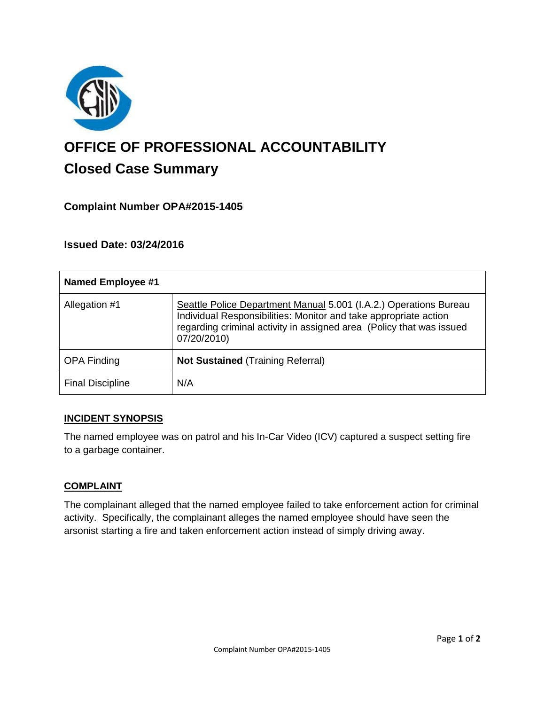

# **OFFICE OF PROFESSIONAL ACCOUNTABILITY Closed Case Summary**

# **Complaint Number OPA#2015-1405**

## **Issued Date: 03/24/2016**

| <b>Named Employee #1</b> |                                                                                                                                                                                                                              |
|--------------------------|------------------------------------------------------------------------------------------------------------------------------------------------------------------------------------------------------------------------------|
| Allegation #1            | Seattle Police Department Manual 5.001 (I.A.2.) Operations Bureau<br>Individual Responsibilities: Monitor and take appropriate action<br>regarding criminal activity in assigned area (Policy that was issued<br>07/20/2010) |
| <b>OPA Finding</b>       | <b>Not Sustained (Training Referral)</b>                                                                                                                                                                                     |
| <b>Final Discipline</b>  | N/A                                                                                                                                                                                                                          |

#### **INCIDENT SYNOPSIS**

The named employee was on patrol and his In-Car Video (ICV) captured a suspect setting fire to a garbage container.

#### **COMPLAINT**

The complainant alleged that the named employee failed to take enforcement action for criminal activity. Specifically, the complainant alleges the named employee should have seen the arsonist starting a fire and taken enforcement action instead of simply driving away.